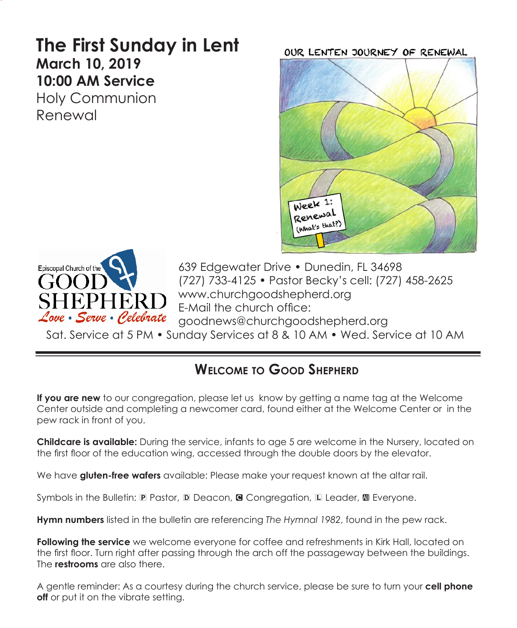# **The First Sunday in Lent March 10, 2019 10:00 AM Service**  Holy Communion

Renewal

OUR LENTEN JOURNEY OF RENEWAL





639 Edgewater Drive • Dunedin, FL 34698 (727) 733-4125 • Pastor Becky's cell: (727) 458-2625 www.churchgoodshepherd.org E-Mail the church office: goodnews@churchgoodshepherd.org

Sat. Service at 5 PM • Sunday Services at 8 & 10 AM • Wed. Service at 10 AM

## **Welcome to Good Shepherd**

**If you are new** to our congregation, please let us know by getting a name tag at the Welcome Center outside and completing a newcomer card, found either at the Welcome Center or in the pew rack in front of you.

**Childcare is available:** During the service, infants to age 5 are welcome in the Nursery, located on the first floor of the education wing, accessed through the double doors by the elevator.

We have **gluten-free wafers** available: Please make your request known at the altar rail.

Symbols in the Bulletin:  $\mathbb P$  Pastor,  $\mathbb D$  Deacon, **G** Congregation,  $\mathbb L$  Leader,  $\mathbb D$  Everyone.

**Hymn numbers** listed in the bulletin are referencing *The Hymnal 1982*, found in the pew rack.

**Following the service** we welcome everyone for coffee and refreshments in Kirk Hall, located on the first floor. Turn right after passing through the arch off the passageway between the buildings. The **restrooms** are also there.

A gentle reminder: As a courtesy during the church service, please be sure to turn your **cell phone off** or put it on the vibrate setting.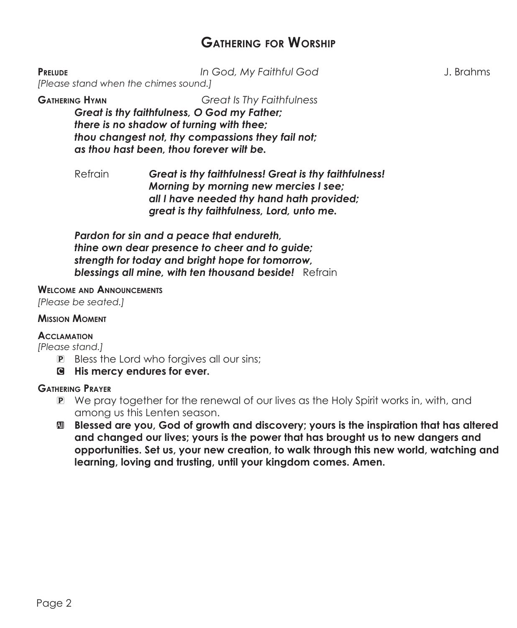### **Gathering for Worship**

**Prelude** *In God, My Faithful God* J. Brahms *[Please stand when the chimes sound.]*

**Gathering Hymn** *Great Is Thy Faithfulness Great is thy faithfulness, O God my Father; there is no shadow of turning with thee; thou changest not, thy compassions they fail not; as thou hast been, thou forever wilt be.*

> Refrain *Great is thy faithfulness! Great is thy faithfulness! Morning by morning new mercies I see; all I have needed thy hand hath provided; great is thy faithfulness, Lord, unto me.*

*Pardon for sin and a peace that endureth, thine own dear presence to cheer and to guide; strength for today and bright hope for tomorrow, blessings all mine, with ten thousand beside!* Refrain

**Welcome and Announcements**

*[Please be seated.]*

### **Mission Moment**

### **Acclamation**

*[Please stand.]*

- P Bless the Lord who forgives all our sins;
- C **His mercy endures for ever.**

### **Gathering Prayer**

- P We pray together for the renewal of our lives as the Holy Spirit works in, with, and among us this Lenten season.
- a **Blessed are you, God of growth and discovery; yours is the inspiration that has altered and changed our lives; yours is the power that has brought us to new dangers and opportunities. Set us, your new creation, to walk through this new world, watching and learning, loving and trusting, until your kingdom comes. Amen.**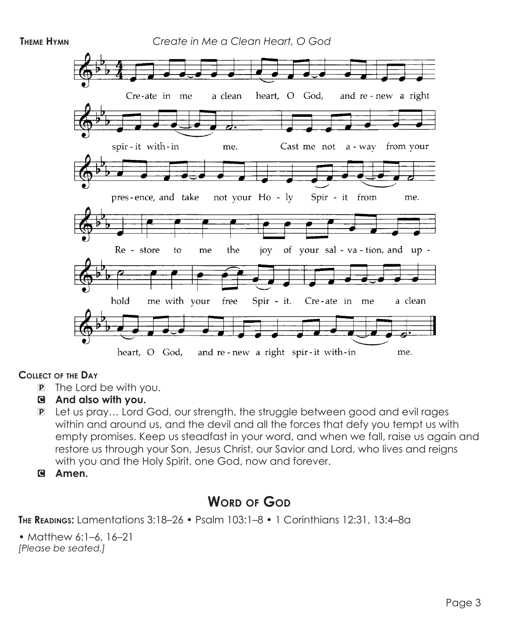

### **Collect of the Day**

P The Lord be with you.

### C **And also with you.**

- P Let us pray… Lord God, our strength, the struggle between good and evil rages within and around us, and the devil and all the forces that defy you tempt us with empty promises. Keep us steadfast in your word, and when we fall, raise us again and restore us through your Son, Jesus Christ, our Savior and Lord, who lives and reigns with you and the Holy Spirit, one God, now and forever.
- C **Amen.**

## **Word of God**

**The Readings:** Lamentations 3:18–26 • Psalm 103:1–8 • 1 Corinthians 12:31, 13:4–8a

```
• Matthew 6:1-6, 16-21
[Please be seated.]
```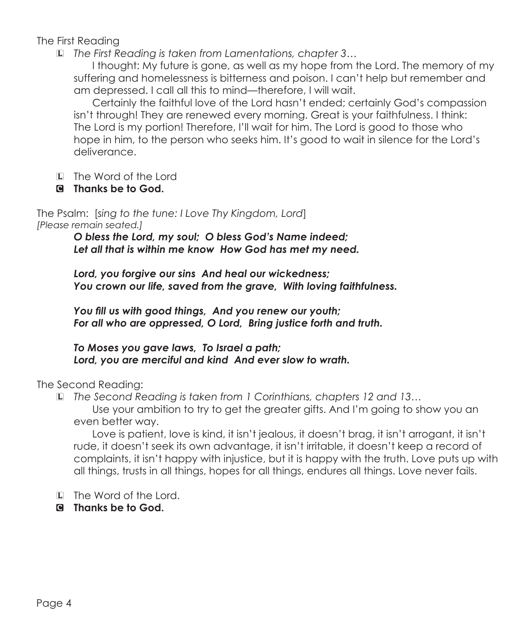The First Reading

L *The First Reading is taken from Lamentations, chapter 3…*

I thought: My future is gone, as well as my hope from the Lord. The memory of my suffering and homelessness is bitterness and poison. I can't help but remember and am depressed. I call all this to mind—therefore, I will wait.

 Certainly the faithful love of the Lord hasn't ended; certainly God's compassion isn't through! They are renewed every morning. Great is your faithfulness. I think: The Lord is my portion! Therefore, I'll wait for him. The Lord is good to those who hope in him, to the person who seeks him. It's good to wait in silence for the Lord's deliverance.

- L The Word of the Lord
- C **Thanks be to God.**

The Psalm: [*sing to the tune: I Love Thy Kingdom, Lord*] *[Please remain seated.]*

*O bless the Lord, my soul; O bless God's Name indeed; Let all that is within me know How God has met my need.*

*Lord, you forgive our sins And heal our wickedness; You crown our life, saved from the grave, With loving faithfulness.*

*You fill us with good things, And you renew our youth; For all who are oppressed, O Lord, Bring justice forth and truth.*

*To Moses you gave laws, To Israel a path; Lord, you are merciful and kind And ever slow to wrath.*

The Second Reading:

L *The Second Reading is taken from 1 Corinthians, chapters 12 and 13…* Use your ambition to try to get the greater gifts. And I'm going to show you an even better way.

 Love is patient, love is kind, it isn't jealous, it doesn't brag, it isn't arrogant, it isn't rude, it doesn't seek its own advantage, it isn't irritable, it doesn't keep a record of complaints, it isn't happy with injustice, but it is happy with the truth. Love puts up with all things, trusts in all things, hopes for all things, endures all things. Love never fails.

- L The Word of the Lord.
- C **Thanks be to God.**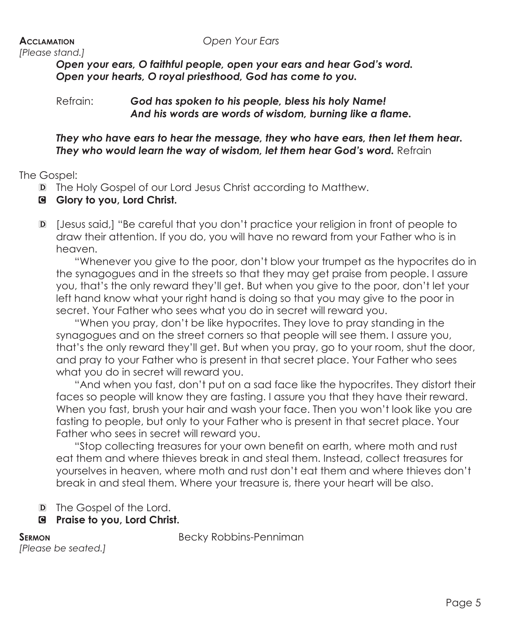*[Please stand.]*

*Open your ears, O faithful people, open your ears and hear God's word. Open your hearts, O royal priesthood, God has come to you.* 

### Refrain: *God has spoken to his people, bless his holy Name! And his words are words of wisdom, burning like a flame.*

*They who have ears to hear the message, they who have ears, then let them hear.* **They who would learn the way of wisdom, let them hear God's word.** Refrain

The Gospel:

- D The Holy Gospel of our Lord Jesus Christ according to Matthew.
- C **Glory to you, Lord Christ.**
- D [Jesus said,] "Be careful that you don't practice your religion in front of people to draw their attention. If you do, you will have no reward from your Father who is in heaven

"Whenever you give to the poor, don't blow your trumpet as the hypocrites do in the synagogues and in the streets so that they may get praise from people. I assure you, that's the only reward they'll get. But when you give to the poor, don't let your left hand know what your right hand is doing so that you may give to the poor in secret. Your Father who sees what you do in secret will reward you.

"When you pray, don't be like hypocrites. They love to pray standing in the synagogues and on the street corners so that people will see them. I assure you, that's the only reward they'll get. But when you pray, go to your room, shut the door, and pray to your Father who is present in that secret place. Your Father who sees what you do in secret will reward you.

"And when you fast, don't put on a sad face like the hypocrites. They distort their faces so people will know they are fasting. I assure you that they have their reward. When you fast, brush your hair and wash your face. Then you won't look like you are fasting to people, but only to your Father who is present in that secret place. Your Father who sees in secret will reward you.

"Stop collecting treasures for your own benefit on earth, where moth and rust eat them and where thieves break in and steal them. Instead, collect treasures for yourselves in heaven, where moth and rust don't eat them and where thieves don't break in and steal them. Where your treasure is, there your heart will be also.

- D The Gospel of the Lord.
- C **Praise to you, Lord Christ.**

**SERMON** Becky Robbins-Penniman

*[Please be seated.]*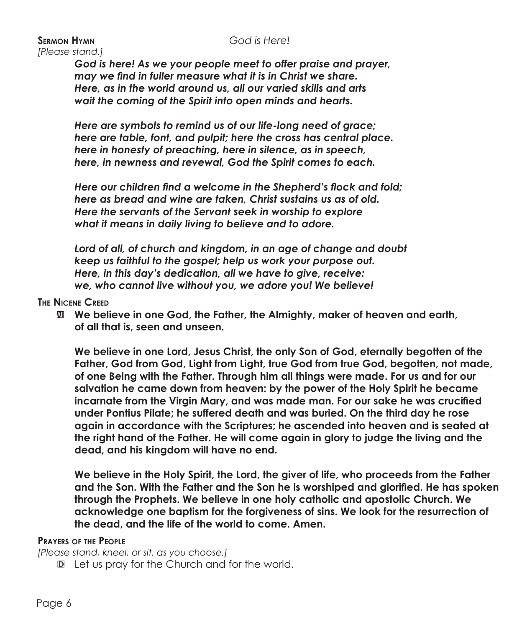### **Sermon Hymn** *God is Here!*

*[Please stand.]*

*God is here! As we your people meet to offer praise and prayer, may we find in fuller measure what it is in Christ we share. Here, as in the world around us, all our varied skills and arts wait the coming of the Spirit into open minds and hearts.*

*Here are symbols to remind us of our life-long need of grace; here are table, font, and pulpit; here the cross has central place. here in honesty of preaching, here in silence, as in speech, here, in newness and revewal, God the Spirit comes to each.*

*Here our children find a welcome in the Shepherd's flock and fold; here as bread and wine are taken, Christ sustains us as of old. Here the servants of the Servant seek in worship to explore what it means in daily living to believe and to adore.*

*Lord of all, of church and kingdom, in an age of change and doubt keep us faithful to the gospel; help us work your purpose out. Here, in this day's dedication, all we have to give, receive: we, who cannot live without you, we adore you! We believe!*

### **The Nicene Creed**

 $\mathbf{M}$  **We believe in one God, the Father, the Almighty, maker of heaven and earth, of all that is, seen and unseen.**

 **We believe in one Lord, Jesus Christ, the only Son of God, eternally begotten of the Father, God from God, Light from Light, true God from true God, begotten, not made, of one Being with the Father. Through him all things were made. For us and for our salvation he came down from heaven: by the power of the Holy Spirit he became incarnate from the Virgin Mary, and was made man. For our sake he was crucified under Pontius Pilate; he suffered death and was buried. On the third day he rose again in accordance with the Scriptures; he ascended into heaven and is seated at the right hand of the Father. He will come again in glory to judge the living and the dead, and his kingdom will have no end.**

 **We believe in the Holy Spirit, the Lord, the giver of life, who proceeds from the Father and the Son. With the Father and the Son he is worshiped and glorified. He has spoken through the Prophets. We believe in one holy catholic and apostolic Church. We acknowledge one baptism for the forgiveness of sins. We look for the resurrection of the dead, and the life of the world to come. Amen.**

### **Prayers of the People**

*[Please stand, kneel, or sit, as you choose.]*

D Let us pray for the Church and for the world.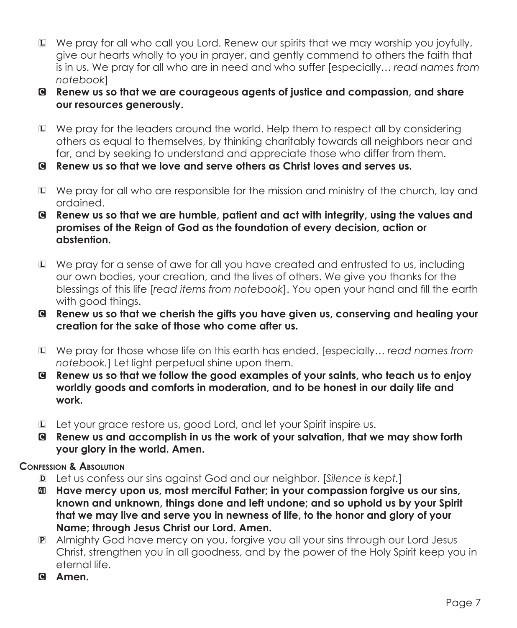- L We pray for all who call you Lord. Renew our spirits that we may worship you joyfully, give our hearts wholly to you in prayer, and gently commend to others the faith that is in us. We pray for all who are in need and who suffer [especially… *read names from notebook*]
- C **Renew us so that we are courageous agents of justice and compassion, and share our resources generously.**
- L We pray for the leaders around the world. Help them to respect all by considering others as equal to themselves, by thinking charitably towards all neighbors near and far, and by seeking to understand and appreciate those who differ from them.
- C **Renew us so that we love and serve others as Christ loves and serves us.**
- L We pray for all who are responsible for the mission and ministry of the church, lay and ordained.
- C **Renew us so that we are humble, patient and act with integrity, using the values and promises of the Reign of God as the foundation of every decision, action or abstention.**
- L We pray for a sense of awe for all you have created and entrusted to us, including our own bodies, your creation, and the lives of others. We give you thanks for the blessings of this life [*read items from notebook*]. You open your hand and fill the earth with good things.
- C **Renew us so that we cherish the gifts you have given us, conserving and healing your creation for the sake of those who come after us.**
- L We pray for those whose life on this earth has ended, [especially… *read names from notebook.*] Let light perpetual shine upon them.
- C **Renew us so that we follow the good examples of your saints, who teach us to enjoy worldly goods and comforts in moderation, and to be honest in our daily life and work.**
- L Let your grace restore us, good Lord, and let your Spirit inspire us.
- C **Renew us and accomplish in us the work of your salvation, that we may show forth your glory in the world. Amen.**

### **Confession & Absolution**

- D Let us confess our sins against God and our neighbor. [*Silence is kept.*]
- a **Have mercy upon us, most merciful Father; in your compassion forgive us our sins, known and unknown, things done and left undone; and so uphold us by your Spirit that we may live and serve you in newness of life, to the honor and glory of your Name; through Jesus Christ our Lord. Amen.**
- P Almighty God have mercy on you, forgive you all your sins through our Lord Jesus Christ, strengthen you in all goodness, and by the power of the Holy Spirit keep you in eternal life.
- C **Amen.**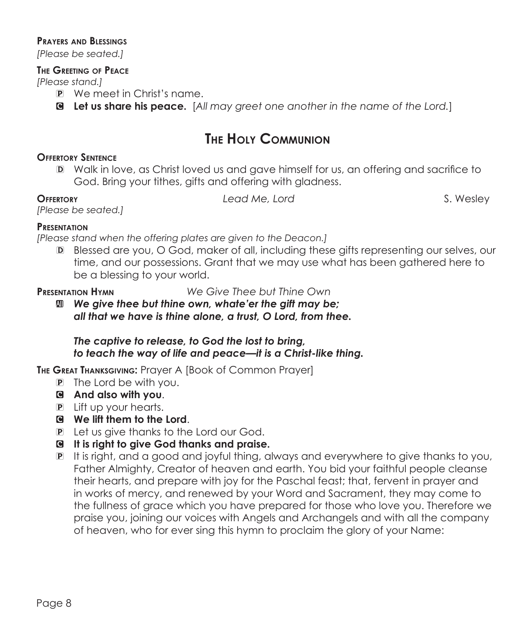### **Prayers and Blessings**

*[Please be seated.]*

### **The Greeting of Peace**

*[Please stand.]*

- P We meet in Christ's name.
- C **Let us share his peace.** [*All may greet one another in the name of the Lord.*]

## **The Holy Communion**

### **Offertory Sentence**

D Walk in love, as Christ loved us and gave himself for us, an offering and sacrifice to God. Bring your tithes, gifts and offering with gladness.

**Offertory** *Lead Me, Lord* S. Wesley

*[Please be seated.]*

### **Presentation**

*[Please stand when the offering plates are given to the Deacon.]*

D Blessed are you, O God, maker of all, including these gifts representing our selves, our time, and our possessions. Grant that we may use what has been gathered here to be a blessing to your world.

**Presentation Hymn** *We Give Thee but Thine Own*

a *We give thee but thine own, whate'er the gift may be; all that we have is thine alone, a trust, O Lord, from thee.*

### *The captive to release, to God the lost to bring, to teach the way of life and peace—it is a Christ-like thing.*

**The Great Thanksgiving:** Prayer A [Book of Common Prayer]

- P The Lord be with you.
- C **And also with you**.
- P Lift up your hearts.
- C **We lift them to the Lord**.
- P Let us give thanks to the Lord our God.
- C **It is right to give God thanks and praise.**
- P It is right, and a good and joyful thing, always and everywhere to give thanks to you, Father Almighty, Creator of heaven and earth. You bid your faithful people cleanse their hearts, and prepare with joy for the Paschal feast; that, fervent in prayer and in works of mercy, and renewed by your Word and Sacrament, they may come to the fullness of grace which you have prepared for those who love you. Therefore we praise you, joining our voices with Angels and Archangels and with all the company of heaven, who for ever sing this hymn to proclaim the glory of your Name: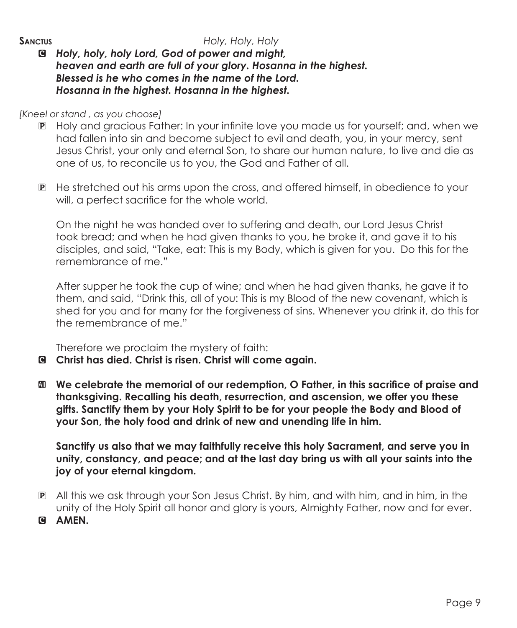### **Sanctus** *Holy, Holy, Holy*

C *Holy, holy, holy Lord, God of power and might, heaven and earth are full of your glory. Hosanna in the highest. Blessed is he who comes in the name of the Lord. Hosanna in the highest. Hosanna in the highest.*

*[Kneel or stand , as you choose]*

- P Holy and gracious Father: In your infinite love you made us for yourself; and, when we had fallen into sin and become subject to evil and death, you, in your mercy, sent Jesus Christ, your only and eternal Son, to share our human nature, to live and die as one of us, to reconcile us to you, the God and Father of all.
- P He stretched out his arms upon the cross, and offered himself, in obedience to your will, a perfect sacrifice for the whole world.

 On the night he was handed over to suffering and death, our Lord Jesus Christ took bread; and when he had given thanks to you, he broke it, and gave it to his disciples, and said, "Take, eat: This is my Body, which is given for you. Do this for the remembrance of me."

 After supper he took the cup of wine; and when he had given thanks, he gave it to them, and said, "Drink this, all of you: This is my Blood of the new covenant, which is shed for you and for many for the forgiveness of sins. Whenever you drink it, do this for the remembrance of me."

Therefore we proclaim the mystery of faith:

- C **Christ has died. Christ is risen. Christ will come again.**
- **M** We celebrate the memorial of our redemption, O Father, in this sacrifice of praise and **thanksgiving. Recalling his death, resurrection, and ascension, we offer you these gifts. Sanctify them by your Holy Spirit to be for your people the Body and Blood of your Son, the holy food and drink of new and unending life in him.**

 **Sanctify us also that we may faithfully receive this holy Sacrament, and serve you in unity, constancy, and peace; and at the last day bring us with all your saints into the joy of your eternal kingdom.** 

- P All this we ask through your Son Jesus Christ. By him, and with him, and in him, in the unity of the Holy Spirit all honor and glory is yours, Almighty Father, now and for ever.
- C **AMEN.**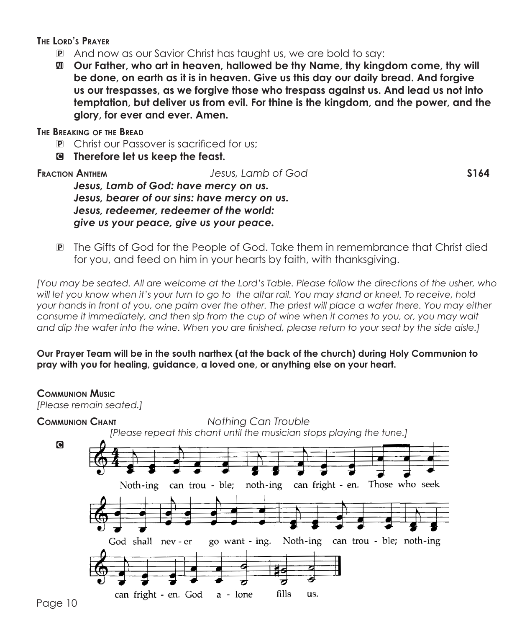**The Lord's Prayer**

- P And now as our Savior Christ has taught us, we are bold to say:
- a **Our Father, who art in heaven, hallowed be thy Name, thy kingdom come, thy will be done, on earth as it is in heaven. Give us this day our daily bread. And forgive us our trespasses, as we forgive those who trespass against us. And lead us not into temptation, but deliver us from evil. For thine is the kingdom, and the power, and the glory, for ever and ever. Amen.**

**The Breaking of the Bread**

- P Christ our Passover is sacrificed for us;
- C **Therefore let us keep the feast.**

| <b>FRACTION ANTHEM</b> | Jesus, Lamb of God                           | S164 |
|------------------------|----------------------------------------------|------|
|                        | Jesus, Lamb of God: have mercy on us.        |      |
|                        | Jesus, bearer of our sins: have mercy on us. |      |
|                        | Jesus, redeemer, redeemer of the world:      |      |
|                        | give us your peace, give us your peace.      |      |

P The Gifts of God for the People of God. Take them in remembrance that Christ died for you, and feed on him in your hearts by faith, with thanksgiving.

*[You may be seated. All are welcome at the Lord's Table. Please follow the directions of the usher, who will let you know when it's your turn to go to the altar rail. You may stand or kneel. To receive, hold your hands in front of you, one palm over the other. The priest will place a wafer there. You may either consume it immediately, and then sip from the cup of wine when it comes to you, or, you may wait and dip the wafer into the wine. When you are finished, please return to your seat by the side aisle.]*

### **Our Prayer Team will be in the south narthex (at the back of the church) during Holy Communion to pray with you for healing, guidance, a loved one, or anything else on your heart.**

### **Communion Music**

*[Please remain seated.]*



Page 10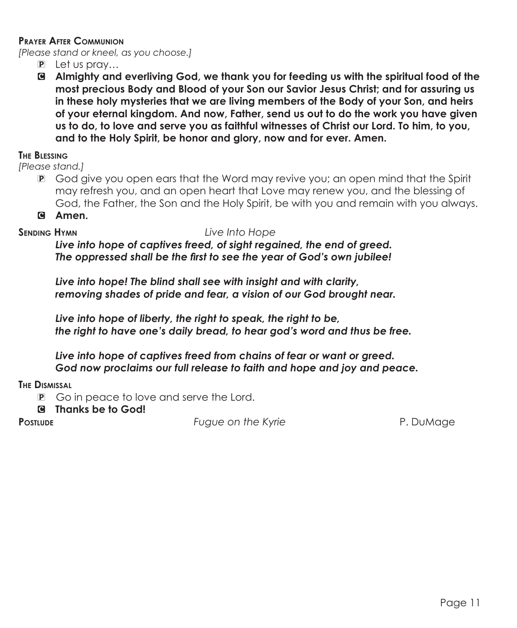### **Prayer After Communion**

*[Please stand or kneel, as you choose.]*

- P Let us pray…
- C **Almighty and everliving God, we thank you for feeding us with the spiritual food of the most precious Body and Blood of your Son our Savior Jesus Christ; and for assuring us in these holy mysteries that we are living members of the Body of your Son, and heirs of your eternal kingdom. And now, Father, send us out to do the work you have given us to do, to love and serve you as faithful witnesses of Christ our Lord. To him, to you, and to the Holy Spirit, be honor and glory, now and for ever. Amen.**

### **The Blessing**

*[Please stand.]*

- P God give you open ears that the Word may revive you; an open mind that the Spirit may refresh you, and an open heart that Love may renew you, and the blessing of God, the Father, the Son and the Holy Spirit, be with you and remain with you always.
- C **Amen.**

### **Sending Hymn** *Live Into Hope*

*Live into hope of captives freed, of sight regained, the end of greed. The oppressed shall be the first to see the year of God's own jubilee!*

*Live into hope! The blind shall see with insight and with clarity, removing shades of pride and fear, a vision of our God brought near.*

*Live into hope of liberty, the right to speak, the right to be, the right to have one's daily bread, to hear god's word and thus be free.*

*Live into hope of captives freed from chains of fear or want or greed. God now proclaims our full release to faith and hope and joy and peace.*

**The Dismissal**

 $\mathbb P$  Go in peace to love and serve the Lord.

C **Thanks be to God!**

**PostLUDE** *Fugue on the Kyrie* **P. DuMage P. DuMage**